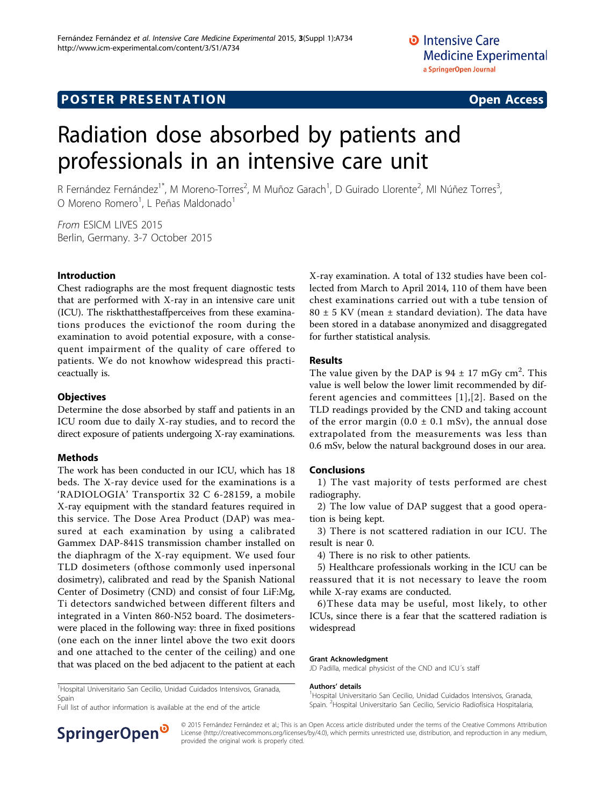# **POSTER PRESENTATION CONSUMING THE SERVICE SERVICE SERVICES**

# Radiation dose absorbed by patients and professionals in an intensive care unit

R Fernández Fernández<sup>1\*</sup>, M Moreno-Torres<sup>2</sup>, M Muñoz Garach<sup>1</sup>, D Guirado Llorente<sup>2</sup>, MI Núñez Torres<sup>3</sup> , O Moreno Romero<sup>1</sup>, L Peñas Maldonado<sup>1</sup>

From ESICM LIVES 2015 Berlin, Germany. 3-7 October 2015

### Introduction

Chest radiographs are the most frequent diagnostic tests that are performed with X-ray in an intensive care unit (ICU). The riskthatthestaffperceives from these examinations produces the evictionof the room during the examination to avoid potential exposure, with a consequent impairment of the quality of care offered to patients. We do not knowhow widespread this practiceactually is.

#### **Objectives**

Determine the dose absorbed by staff and patients in an ICU room due to daily X-ray studies, and to record the direct exposure of patients undergoing X-ray examinations.

### Methods

The work has been conducted in our ICU, which has 18 beds. The X-ray device used for the examinations is a 'RADIOLOGIA' Transportix 32 C 6-28159, a mobile X-ray equipment with the standard features required in this service. The Dose Area Product (DAP) was measured at each examination by using a calibrated Gammex DAP-841S transmission chamber installed on the diaphragm of the X-ray equipment. We used four TLD dosimeters (ofthose commonly used inpersonal dosimetry), calibrated and read by the Spanish National Center of Dosimetry (CND) and consist of four LiF:Mg, Ti detectors sandwiched between different filters and integrated in a Vinten 860-N52 board. The dosimeterswere placed in the following way: three in fixed positions (one each on the inner lintel above the two exit doors and one attached to the center of the ceiling) and one that was placed on the bed adjacent to the patient at each X-ray examination. A total of 132 studies have been collected from March to April 2014, 110 of them have been chest examinations carried out with a tube tension of  $80 \pm 5$  KV (mean  $\pm$  standard deviation). The data have been stored in a database anonymized and disaggregated for further statistical analysis.

#### Results

The value given by the DAP is  $94 \pm 17$  mGy cm<sup>2</sup>. This value is well below the lower limit recommended by different agencies and committees [[1](#page-1-0)],[[2](#page-1-0)]. Based on the TLD readings provided by the CND and taking account of the error margin  $(0.0 \pm 0.1 \text{ mSv})$ , the annual dose extrapolated from the measurements was less than 0.6 mSv, below the natural background doses in our area.

### Conclusions

1) The vast majority of tests performed are chest radiography.

2) The low value of DAP suggest that a good operation is being kept.

3) There is not scattered radiation in our ICU. The result is near 0.

4) There is no risk to other patients.

5) Healthcare professionals working in the ICU can be reassured that it is not necessary to leave the room while X-ray exams are conducted.

6)These data may be useful, most likely, to other ICUs, since there is a fear that the scattered radiation is widespread

Spain. <sup>2</sup> Hospital Universitario San Cecilio, Servicio Radiofísica Hospitalaria

#### Grant Acknowledgment

JD Padilla, medical physicist of the CND and ICU´s staff

Authors' details <sup>1</sup> <sup>1</sup>Hospital Universitario San Cecilio, Unidad Cuidados Intensivos, Granada,

<sup>1</sup> Hospital Universitario San Cecilio, Unidad Cuidados Intensivos, Granada, Spain

provided the original work is properly cited.

Full list of author information is available at the end of the article



© 2015 Fernández Fernández et al.; This is an Open Access article distributed under the terms of the Creative Commons Attribution License [\(http://creativecommons.org/licenses/by/4.0](http://creativecommons.org/licenses/by/4.0)), which permits unrestricted use, distribution, and reproduction in any medium,